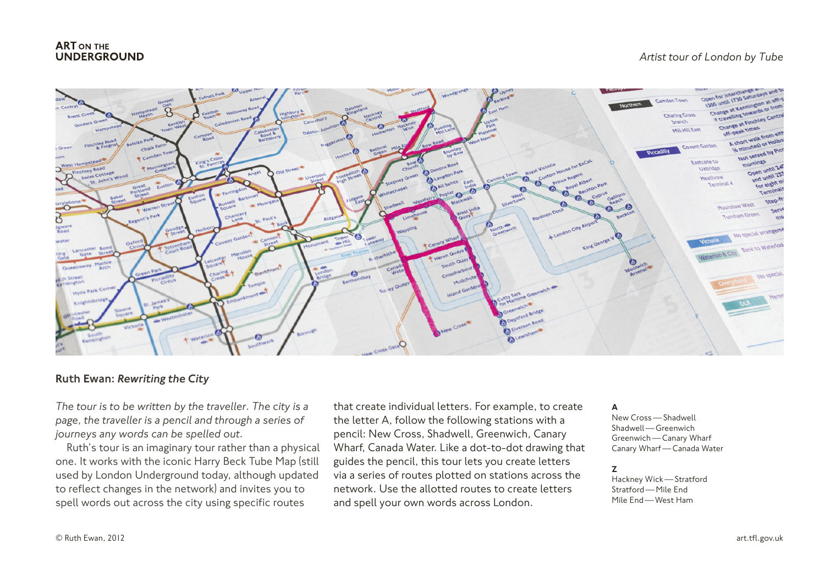# **ART ON THE UNDERGROUND**



# Ruth Ewan: *Rewriting the City*

*The tour is to be written by the traveller. The city is a page, the traveller is a pencil and through a series of journeys any words can be spelled out.*

Ruth's tour is an imaginary tour rather than a physical one. It works with the iconic Harry Beck Tube Map (still used by London Underground today, although updated to reflect changes in the network) and invites you to spell words out across the city using specific routes

that create individual letters. For example, to create the letter A, follow the following stations with a pencil: New Cross, Shadwell, Greenwich, Canary Wharf, Canada Water. Like a dot-to-dot drawing that guides the pencil, this tour lets you create letters via a series of routes plotted on stations across the network. Use the allotted routes to create letters and spell your own words across London.

#### A

New Cross—Shadwell Shadwell—Greenwich Greenwich—Canary Wharf Canary Wharf—Canada Water

#### Z

Hackney Wick—Stratford Stratford—Mile End Mile End—West Ham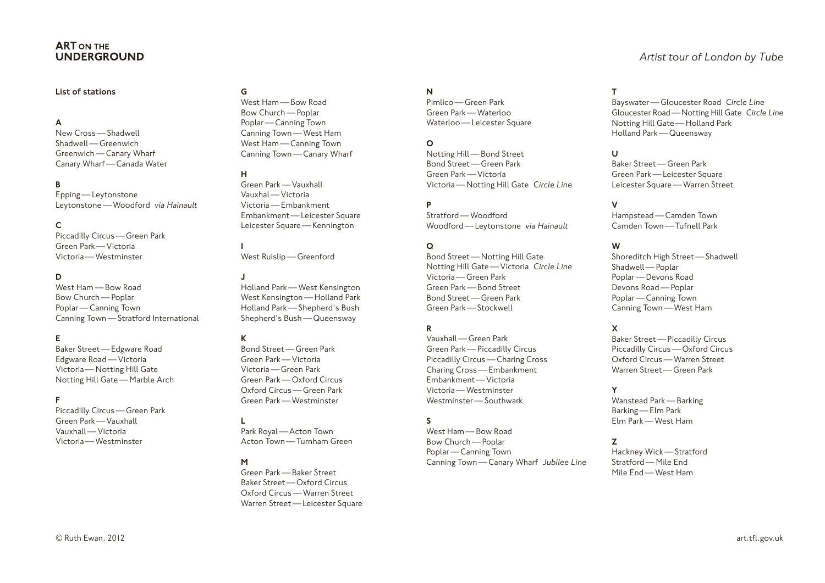# **ART ON THE UNDERGROUND**

#### List of stations

A

New Cross—Shadwell Shadwell—Greenwich Greenwich—Canary Wharf Canary Wharf—Canada Water

#### B

Epping—Leytonstone Leytonstone—Woodford *via Hainault*

# $\mathsf{C}$

Piccadilly Circus—Green Park Green Park—Victoria Victoria—Westminster

#### D

West Ham—Bow Road Bow Church—Poplar Poplar—Canning Town Canning Town—Stratford International

# E

Baker Street—Edgware Road Edgware Road—Victoria Victoria—Notting Hill Gate Notting Hill Gate—Marble Arch

#### F

Piccadilly Circus—Green Park Green Park—Vauxhall Vauxhall—Victoria Victoria—Westminster

West Ham—Bow Road Bow Church—Poplar Poplar—Canning Town Canning Town—West Ham West Ham—Canning Town Canning Town—Canary Wharf

# H

G

Green Park—Vauxhall Vauxhal—Victoria Victoria—Embankment Embankment—Leicester Square Leicester Square—Kennington

I West Ruislip—Greenford

J

Holland Park—West Kensington West Kensington—Holland Park Holland Park—Shepherd's Bush Shepherd's Bush—Queensway

#### K

Bond Street—Green Park Green Park—Victoria Victoria—Green Park Green Park—Oxford Circus Oxford Circus—Green Park Green Park—Westminster

# L

Park Royal—Acton Town Acton Town—Turnham Green

# M

Green Park—Baker Street Baker Street—Oxford Circus Oxford Circus—Warren Street Warren Street—Leicester Square

#### N

Pimlico—Green Park Green Park—Waterloo Waterloo — Leicester Square

#### O

Notting Hill—Bond Street Bond Street—Green Park Green Park—Victoria Victoria—Notting Hill Gate *Circle Line*

#### P

Stratford—Woodford Woodford—Leytonstone *via Hainault*

#### Q

Bond Street—Notting Hill Gate Notting Hill Gate—Victoria *Circle Line* Victoria—Green Park Green Park—Bond Street Bond Street—Green Park Green Park—Stockwell

# R

Vauxhall—Green Park Green Park—Piccadilly Circus Piccadilly Circus—Charing Cross Charing Cross—Embankment Embankment—Victoria Victoria—Westminster Westminster—Southwark

# S

West Ham—Bow Road Bow Church—Poplar Poplar—Canning Town Canning Town—Canary Wharf *Jubilee Line*

#### T

Bayswater—Gloucester Road *Circle Line* Gloucester Road—Notting Hill Gate *Circle Line* Notting Hill Gate—Holland Park Holland Park—Queensway

#### $\mathbf{U}$

Baker Street—Green Park Green Park—Leicester Square Leicester Square—Warren Street

#### V

Hampstead—Camden Town Camden Town—Tufnell Park

#### W

Shoreditch High Street—Shadwell Shadwell—Poplar Poplar—Devons Road Devons Road—Poplar Poplar—Canning Town Canning Town—West Ham

#### X

Baker Street—Piccadilly Circus Piccadilly Circus—Oxford Circus Oxford Circus—Warren Street Warren Street—Green Park

#### Y

Wanstead Park—Barking Barking—Elm Park Elm Park—West Ham

#### Z

Hackney Wick—Stratford Stratford—Mile End Mile End—West Ham

# *Artist tour of London by Tube*